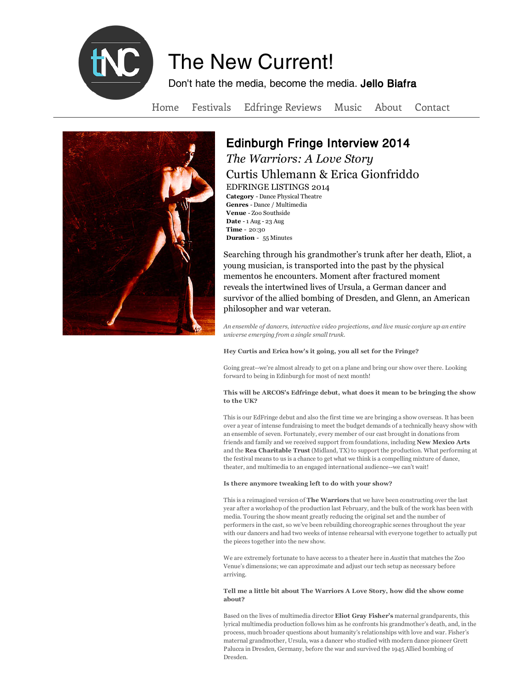

# The New Current!

Don't hate the media, become the media. Jello Biafra

Home Festivals Edfringe Reviews Music About Contact



# Edinburgh Fringe Interview 2014 *The Warriors: A Love Story*

Curtis Uhlemann & Erica Gionfriddo

EDFRINGE LISTINGS 2014 **Category** - Dance Physical Theatre **Genres** - Dance / Multimedia **Venue** - Zoo Southside **Date** - 1 Aug - 23 Aug **Time** - 20:30 **Duration** - 55 Minutes

Searching through his grandmother's trunk after her death, Eliot, a young musician, is transported into the past by the physical mementos he encounters. Moment after fractured moment reveals the intertwined lives of Ursula, a German dancer and survivor of the allied bombing of Dresden, and Glenn, an American philosopher and war veteran.

*An ensemble of dancers, interactive video projections, and live music conjure up an entire universe emerging from a single small trunk.*

**Hey Curtis and Erica how's it going, you all set for the Fringe?**

Going great--we're almost already to get on a plane and bring our show over there. Looking forward to being in Edinburgh for most of next month!

# **This will be ARCOS's Edfringe debut, what does it mean to be bringing the show to the UK?**

This is our EdFringe debut and also the first time we are bringing a show overseas. It has been over a year of intense fundraising to meet the budget demands of a technically heavy show with an ensemble of seven. Fortunately, every member of our cast brought in donations from friends and family and we received support from foundations, including **New Mexico Arts** and the **Rea Charitable Trust** (Midland, TX) to support the production. What performing at the festival means to us is a chance to get what we think is a compelling mixture of dance, theater, and multimedia to an engaged international audience--we can't wait!

# **Is there anymore tweaking left to do with your show?**

This is a reimagined version of **The Warriors** that we have been constructing over the last year after a workshop of the production last February, and the bulk of the work has been with media. Touring the show meant greatly reducing the original set and the number of performers in the cast, so we've been rebuilding choreographic scenes throughout the year with our dancers and had two weeks of intense rehearsal with everyone together to actually put the pieces together into the new show.

We are extremely fortunate to have access to a theater here in *Austin* that matches the Zoo Venue's dimensions; we can approximate and adjust our tech setup as necessary before arriving.

# **Tell me a little bit about The Warriors A Love Story, how did the show come about?**

Based on the lives of multimedia director **Eliot Gray Fisher's** maternal grandparents, this lyrical multimedia production follows him as he confronts his grandmother's death, and, in the process, much broader questions about humanity's relationships with love and war. Fisher's maternal grandmother, Ursula, was a dancer who studied with modern dance pioneer Grett Palucca in Dresden, Germany, before the war and survived the 1945 Allied bombing of Dresden.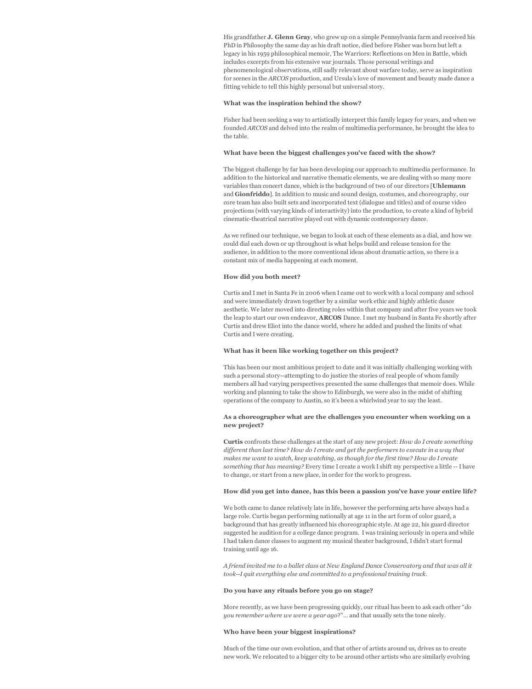His grandfather **J. Glenn Gray**, who grew up on a simple Pennsylvania farm and received his PhD in Philosophy the same day as his draft notice, died before Fisher was born but left a legacy in his 1959 philosophical memoir, The Warriors: Reflections on Men in Battle, which includes excerpts from his extensive war journals. Those personal writings and phenomenological observations, still sadly relevant about warfare today, serve as inspiration for scenes in the *ARCOS* production, and Ursula's love of movement and beauty made dance a fitting vehicle to tell this highly personal but universal story.

#### **What was the inspiration behind the show?**

Fisher had been seeking a way to artistically interpret this family legacy for years, and when we founded *ARCOS* and delved into the realm of multimedia performance, he brought the idea to the table.

# **What have been the biggest challenges you've faced with the show?**

The biggest challenge by far has been developing our approach to multimedia performance. In addition to the historical and narrative thematic elements, we are dealing with so many more variables than concert dance, which is the background of two of our directors [**Uhlemann** and **Gionfriddo**]. In addition to music and sound design, costumes, and choreography, our core team has also built sets and incorporated text (dialogue and titles) and of course video projections (with varying kinds of interactivity) into the production, to create a kind of hybrid cinematic-theatrical narrative played out with dynamic contemporary dance.

As we refined our technique, we began to look at each of these elements as a dial, and how we could dial each down or up throughout is what helps build and release tension for the audience, in addition to the more conventional ideas about dramatic action, so there is a constant mix of media happening at each moment.

# **How did you both meet?**

Curtis and I met in Santa Fe in 2006 when I came out to work with a local company and school and were immediately drawn together by a similar work ethic and highly athletic dance aesthetic. We later moved into directing roles within that company and after five years we took the leap to start our own endeavor, **ARCOS** Dance. I met my husband in Santa Fe shortly after Curtis and drew Eliot into the dance world, where he added and pushed the limits of what Curtis and I were creating.

#### **What has it been like working together on this project?**

This has been our most ambitious project to date and it was initially challenging working with such a personal story--attempting to do justice the stories of real people of whom family members all had varying perspectives presented the same challenges that memoir does. While working and planning to take the show to Edinburgh, we were also in the midst of shifting operations of the company to Austin, so it's been a whirlwind year to say the least.

#### **As a choreographer what are the challenges you encounter when working on a new project?**

**Curtis** confronts these challenges at the start of any new project: *How do I create something different than last time? How do I create and get the performers to execute in a way that makes me want to watch, keep watching, as though for the first time? How do I create something that has meaning?* Every time I create a work I shift my perspective a little -- I have to change, or start from a new place, in order for the work to progress.

# **How did you get into dance, has this been a passion you've have your entire life?**

We both came to dance relatively late in life, however the performing arts have always had a large role. Curtis began performing nationally at age 11 in the art form of color guard, a background that has greatly influenced his choreographic style. At age 22, his guard director suggested he audition for a college dance program. I was training seriously in opera and while I had taken dance classes to augment my musical theater background, I didn't start formal training until age 16.

*A friend invited me to a ballet class at New England Dance Conservatory and that was all it took--I quit everything else and committed to a professional training track.* 

#### **Do you have any rituals before you go on stage?**

More recently, as we have been progressing quickly, our ritual has been to ask each other "*do you remember where we were a year ago*?"… and that usually sets the tone nicely.

# **Who have been your biggest inspirations?**

Much of the time our own evolution, and that other of artists around us, drives us to create new work. We relocated to a bigger city to be around other artists who are similarly evolving